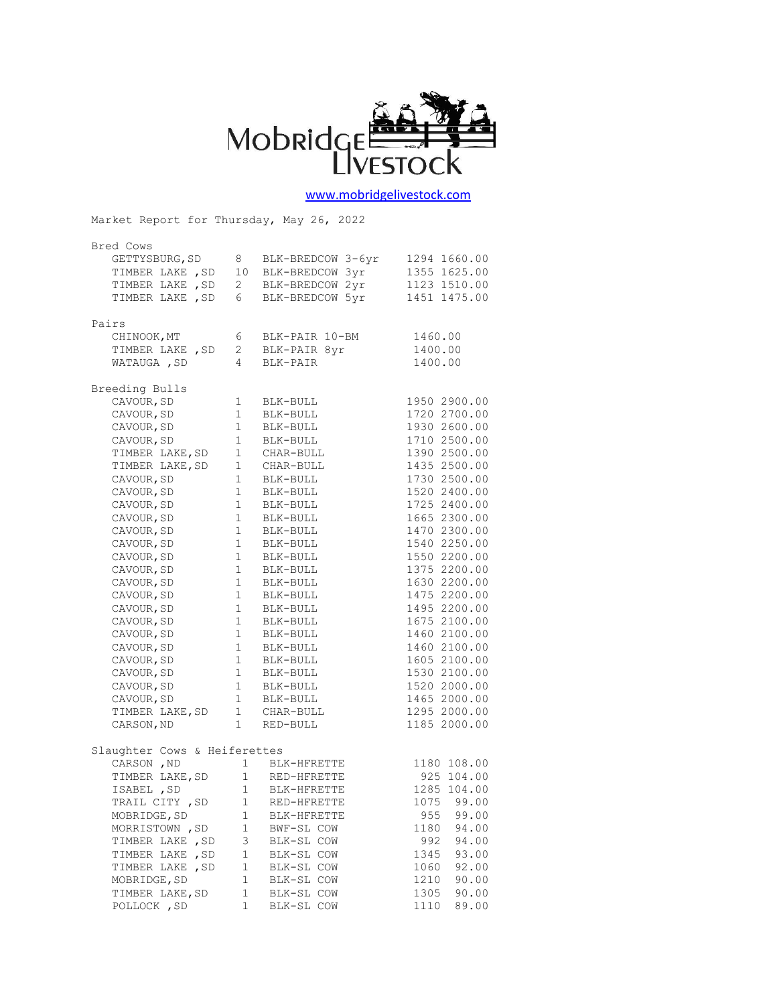

## [www.mobridgelivestock.com](http://www.mobridgelivestock.com/)

Market Report for Thursday, May 26, 2022

| Bred Cows                                                          |                                       |                                     |               |
|--------------------------------------------------------------------|---------------------------------------|-------------------------------------|---------------|
| GETTYSBURG, SD                                                     | 8                                     | BLK-BREDCOW 3-6yr                   | 1294 1660.00  |
|                                                                    |                                       | BLK-BREDCOW 3yr                     | 1355 1625.00  |
| TIMBER LAKE , SD 10<br>TIMBER LAKE , SD 2                          |                                       | BLK-BREDCOW 2yr                     | 1123 1510.00  |
| TIMBER LAKE, SD 6                                                  |                                       | BLK-BREDCOW 5yr                     | 1451 1475.00  |
|                                                                    |                                       |                                     |               |
| Pairs                                                              |                                       |                                     |               |
| CHINOOK, MT                                                        | 6                                     | BLK-PAIR 10-BM                      | 1460.00       |
| TIMBER LAKE, SD 2                                                  |                                       | BLK-PAIR 8yr                        | 1400.00       |
| WATAUGA , SD                                                       | $4\overline{ }$                       | BLK-PAIR                            | 1400.00       |
|                                                                    |                                       |                                     |               |
| Breeding Bulls                                                     |                                       |                                     |               |
| CAVOUR, SD                                                         | $\frac{1}{4}$                         | BLK-BULL                            | 1950 2900.00  |
| CAVOUR, SD                                                         | 1                                     | BLK-BULL                            | 1720 2700.00  |
| CAVOUR, SD                                                         | $1 -$                                 | BLK-BULL                            | 1930 2600.00  |
| CAVOUR, SD                                                         | $\mathbf{1}$                          | BLK-BULL                            | 1710 2500.00  |
| TIMBER LAKE, SD                                                    |                                       | 1 CHAR-BULL                         | 1390 2500.00  |
| TIMBER LAKE, SD                                                    | 1                                     | CHAR-BULL                           | 1435 2500.00  |
| CAVOUR, SD                                                         | 1                                     | BLK-BULL                            | 1730 2500.00  |
| CAVOUR, SD                                                         | $\begin{array}{c} 1 \\ 1 \end{array}$ | BLK-BULL                            | 1520 2400.00  |
| CAVOUR, SD                                                         |                                       | BLK-BULL                            | 1725 2400.00  |
| CAVOUR, SD                                                         | $1 -$                                 | BLK-BULL                            | 1665 2300.00  |
| CAVOUR, SD                                                         |                                       | BLK-BULL                            | 1470 2300.00  |
| CAVOUR, SD                                                         | $\begin{matrix}1\\1\end{matrix}$      | BLK-BULL                            | 1540 2250.00  |
| CAVOUR, SD                                                         | $1 -$                                 | BLK-BULL                            | 1550 2200.00  |
| CAVOUR, SD                                                         | $\overline{1}$                        | BLK-BULL                            | 1375 2200.00  |
| CAVOUR, SD                                                         | 1                                     | BLK-BULL                            | 1630 2200.00  |
| CAVOUR, SD                                                         | 1                                     | BLK-BULL                            | 1475 2200.00  |
| CAVOUR, SD                                                         | 1                                     | BLK-BULL                            | 1495 2200.00  |
| CAVOUR, SD                                                         |                                       | BLK-BULL                            | 1675 2100.00  |
| CAVOUR, SD                                                         | $\frac{1}{1}$                         | BLK-BULL                            | 1460 2100.00  |
| CAVOUR, SD                                                         | 1                                     | BLK-BULL                            | 1460 2100.00  |
| CAVOUR, SD                                                         |                                       |                                     | 1605 2100.00  |
| CAVOUR, SD                                                         |                                       | 1 BLK-BULL<br>1 BLK-BULL<br>------- | 1530 2100.00  |
| CAVOUR, SD                                                         |                                       | 1 BLK-BULL                          | 1520 2000.00  |
| CAVOUR, SD                                                         |                                       |                                     | 1465 2000.00  |
|                                                                    |                                       |                                     | 1295 2000.00  |
| TIMBER LAKE, SD 1 CHAR-BULL<br>CARSON, ND 1 RED-BULL<br>CARSON, ND |                                       |                                     | 1185 2000.00  |
|                                                                    |                                       |                                     |               |
| Slaughter Cows & Heiferettes                                       |                                       |                                     |               |
| CARSON, ND                                                         |                                       | 1 BLK-HFRETTE                       | 1180 108.00   |
| TIMBER LAKE, SD 1 RED-HFRETTE                                      |                                       |                                     | 925 104.00    |
| ISABEL , SD                                                        |                                       |                                     | 1285 104.00   |
| TRAIL CITY , SD                                                    |                                       |                                     | 1075<br>99.00 |
| MOBRIDGE, SD                                                       | 1                                     | BLK-HFRETTE                         | 955<br>99.00  |
| MORRISTOWN, SD                                                     | 1                                     | BWF-SL COW                          | 1180<br>94.00 |
| TIMBER LAKE , SD                                                   | 3                                     | BLK-SL COW                          | 94.00<br>992  |
| TIMBER LAKE, SD                                                    | 1                                     | BLK-SL COW                          | 1345<br>93.00 |
| TIMBER LAKE, SD                                                    | 1                                     | BLK-SL COW                          | 92.00<br>1060 |
| MOBRIDGE, SD                                                       | $\mathbf 1$                           | BLK-SL COW                          | 90.00<br>1210 |
| TIMBER LAKE, SD                                                    | 1                                     | BLK-SL COW                          | 90.00<br>1305 |
| POLLOCK, SD                                                        | $\mathbf{1}$                          | BLK-SL COW                          | 1110<br>89.00 |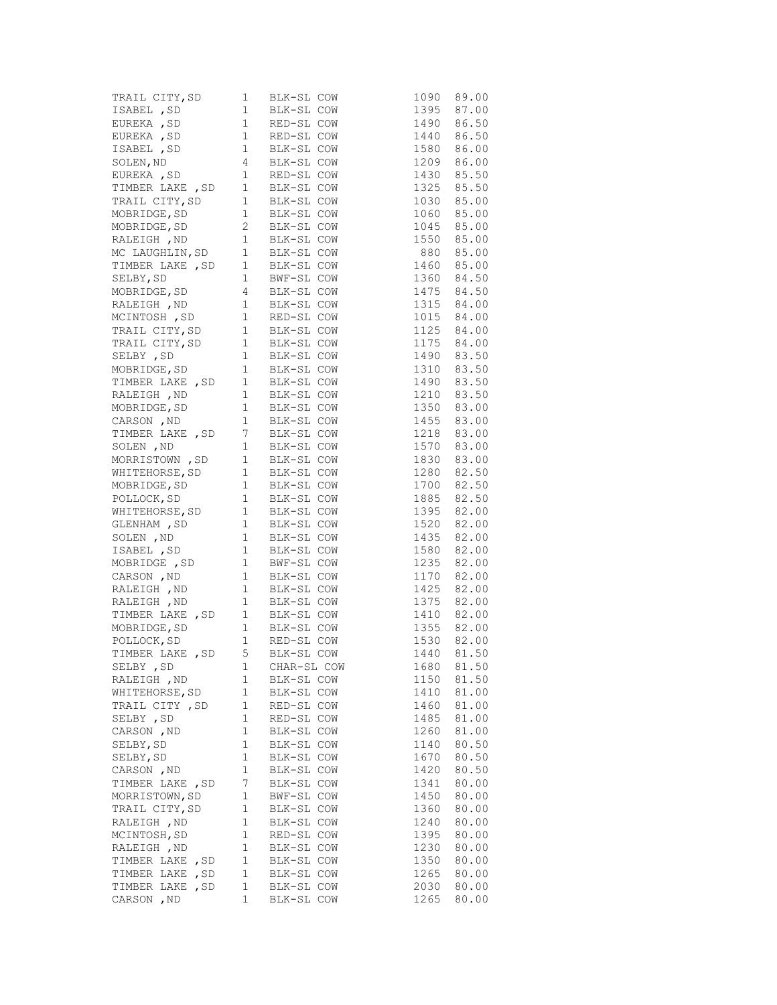|                  |              | TRAIL CITY, SD<br>I BLK-SL COW 1090 89.00<br>ISABEL , SD<br>I RED-SL COW 1490 86.50<br>EUREKA , SD<br>I RED-SL COW 1490 86.50<br>ISABEL , SD<br>I BLK-SL COW 1580 86.00<br>SOLEN, ND<br>EUREKA , SD<br>I RED-SL COW 1209 86.00<br>EUREKA , SD                                                                                                                                                                       |               |
|------------------|--------------|---------------------------------------------------------------------------------------------------------------------------------------------------------------------------------------------------------------------------------------------------------------------------------------------------------------------------------------------------------------------------------------------------------------------|---------------|
|                  |              |                                                                                                                                                                                                                                                                                                                                                                                                                     |               |
|                  |              |                                                                                                                                                                                                                                                                                                                                                                                                                     |               |
|                  |              |                                                                                                                                                                                                                                                                                                                                                                                                                     |               |
|                  |              |                                                                                                                                                                                                                                                                                                                                                                                                                     |               |
|                  |              |                                                                                                                                                                                                                                                                                                                                                                                                                     |               |
|                  |              |                                                                                                                                                                                                                                                                                                                                                                                                                     |               |
|                  |              |                                                                                                                                                                                                                                                                                                                                                                                                                     |               |
|                  |              |                                                                                                                                                                                                                                                                                                                                                                                                                     |               |
|                  |              |                                                                                                                                                                                                                                                                                                                                                                                                                     |               |
|                  |              |                                                                                                                                                                                                                                                                                                                                                                                                                     |               |
|                  |              |                                                                                                                                                                                                                                                                                                                                                                                                                     |               |
|                  |              |                                                                                                                                                                                                                                                                                                                                                                                                                     |               |
|                  |              |                                                                                                                                                                                                                                                                                                                                                                                                                     |               |
|                  |              |                                                                                                                                                                                                                                                                                                                                                                                                                     |               |
|                  |              |                                                                                                                                                                                                                                                                                                                                                                                                                     |               |
|                  |              |                                                                                                                                                                                                                                                                                                                                                                                                                     |               |
|                  |              |                                                                                                                                                                                                                                                                                                                                                                                                                     |               |
|                  |              |                                                                                                                                                                                                                                                                                                                                                                                                                     |               |
|                  |              |                                                                                                                                                                                                                                                                                                                                                                                                                     |               |
|                  |              |                                                                                                                                                                                                                                                                                                                                                                                                                     |               |
|                  |              |                                                                                                                                                                                                                                                                                                                                                                                                                     |               |
|                  |              |                                                                                                                                                                                                                                                                                                                                                                                                                     |               |
|                  |              |                                                                                                                                                                                                                                                                                                                                                                                                                     |               |
|                  |              |                                                                                                                                                                                                                                                                                                                                                                                                                     |               |
|                  |              |                                                                                                                                                                                                                                                                                                                                                                                                                     |               |
|                  |              |                                                                                                                                                                                                                                                                                                                                                                                                                     |               |
|                  |              |                                                                                                                                                                                                                                                                                                                                                                                                                     |               |
|                  |              |                                                                                                                                                                                                                                                                                                                                                                                                                     |               |
|                  |              |                                                                                                                                                                                                                                                                                                                                                                                                                     |               |
|                  |              | $\begin{tabular}{l c c c c} \hline \texttt{TRALI} & \texttt{CTY}, \texttt{SD} & \texttt{I} & \texttt{BLK-SL COW} & \texttt{1030} & \texttt{85.00} \\ \hline \texttt{MOBRIDE}, \texttt{SD} & \texttt{1} & \texttt{BLK-SL COW} & \texttt{1060} & \texttt{85.00} \\ \texttt{MOBRIDE}, \texttt{SD} & \texttt{2} & \texttt{BLK-SL COW} & \texttt{1060} & \texttt{85.00} \\ \texttt{RAELEGI}, \texttt{ND} & \texttt{1} &$ |               |
|                  |              |                                                                                                                                                                                                                                                                                                                                                                                                                     |               |
|                  |              |                                                                                                                                                                                                                                                                                                                                                                                                                     |               |
|                  |              |                                                                                                                                                                                                                                                                                                                                                                                                                     |               |
|                  |              | MOBRIDGE, SD<br>MOBRIDGE, SD<br>1 BLK-SL COW 1885 82.50<br>NHITEHORSE, SD 1 BLK-SL COW 1885 82.50<br>CLENHAM, SD 1 BLK-SL COW 1520 82.00<br>SOLEN, ND 1 BLK-SL COW 1435 82.00<br>GLENHAM , SD<br>SOLEN , ND<br>SOLEN , ND<br>1 BLK-SL COW<br>ISABEL , SD<br>1 BLK-SL COW                                                                                                                                            |               |
|                  |              |                                                                                                                                                                                                                                                                                                                                                                                                                     | 1580 82.00    |
|                  |              |                                                                                                                                                                                                                                                                                                                                                                                                                     |               |
|                  |              | 1980 82.00<br>MOBRIDGE, SD 1 BLK-SL COW 1235 82.00<br>CARSON, ND 1 BLK-SL COW 1170 82.00<br>RALEIGH, ND 1 BLK-SL COW 1425 82.00<br>RALEIGH, ND 1 BLK-SL COW 1425 82.00<br>TIMBER LAKE, SD 1 BLK-SL COW 1410 82.00<br>MOBRIDGE, SD 1 BLK-SL                                                                                                                                                                          |               |
|                  |              |                                                                                                                                                                                                                                                                                                                                                                                                                     |               |
|                  |              |                                                                                                                                                                                                                                                                                                                                                                                                                     |               |
|                  |              |                                                                                                                                                                                                                                                                                                                                                                                                                     |               |
|                  |              |                                                                                                                                                                                                                                                                                                                                                                                                                     |               |
|                  |              |                                                                                                                                                                                                                                                                                                                                                                                                                     |               |
|                  |              |                                                                                                                                                                                                                                                                                                                                                                                                                     |               |
| SELBY , SD       | 1            | CHAR-SL COW                                                                                                                                                                                                                                                                                                                                                                                                         | 81.50<br>1680 |
| RALEIGH , ND     | 1            | BLK-SL COW                                                                                                                                                                                                                                                                                                                                                                                                          | 81.50<br>1150 |
| WHITEHORSE, SD   | 1            | BLK-SL COW                                                                                                                                                                                                                                                                                                                                                                                                          | 81.00<br>1410 |
| TRAIL CITY, SD   | $\mathbf{1}$ | RED-SL COW                                                                                                                                                                                                                                                                                                                                                                                                          | 81.00<br>1460 |
| SELBY , SD       | 1            | RED-SL COW                                                                                                                                                                                                                                                                                                                                                                                                          | 81.00<br>1485 |
| CARSON, ND       | 1            | BLK-SL COW                                                                                                                                                                                                                                                                                                                                                                                                          | 81.00<br>1260 |
| SELBY, SD        | 1            | BLK-SL COW                                                                                                                                                                                                                                                                                                                                                                                                          | 80.50<br>1140 |
| SELBY, SD        | 1            | BLK-SL COW                                                                                                                                                                                                                                                                                                                                                                                                          | 80.50<br>1670 |
| CARSON, ND       | 1            | BLK-SL COW                                                                                                                                                                                                                                                                                                                                                                                                          | 1420<br>80.50 |
| TIMBER LAKE, SD  | 7            | BLK-SL COW                                                                                                                                                                                                                                                                                                                                                                                                          | 1341<br>80.00 |
| MORRISTOWN, SD   | 1            | BWF-SL COW                                                                                                                                                                                                                                                                                                                                                                                                          | 80.00<br>1450 |
| TRAIL CITY, SD   | 1            | BLK-SL COW                                                                                                                                                                                                                                                                                                                                                                                                          | 1360<br>80.00 |
| RALEIGH , ND     | 1            | BLK-SL COW                                                                                                                                                                                                                                                                                                                                                                                                          | 1240<br>80.00 |
| MCINTOSH, SD     | $\mathbf{1}$ | RED-SL COW                                                                                                                                                                                                                                                                                                                                                                                                          | 1395<br>80.00 |
| RALEIGH , ND     | 1            | BLK-SL COW                                                                                                                                                                                                                                                                                                                                                                                                          | 1230<br>80.00 |
| TIMBER LAKE, SD  | 1            | BLK-SL COW                                                                                                                                                                                                                                                                                                                                                                                                          | 1350<br>80.00 |
| TIMBER LAKE , SD | $\mathbf{1}$ | BLK-SL COW                                                                                                                                                                                                                                                                                                                                                                                                          | 1265<br>80.00 |
| TIMBER LAKE , SD | 1            | BLK-SL COW                                                                                                                                                                                                                                                                                                                                                                                                          | 80.00<br>2030 |
| CARSON, ND       | 1            | BLK-SL COW                                                                                                                                                                                                                                                                                                                                                                                                          | 1265<br>80.00 |